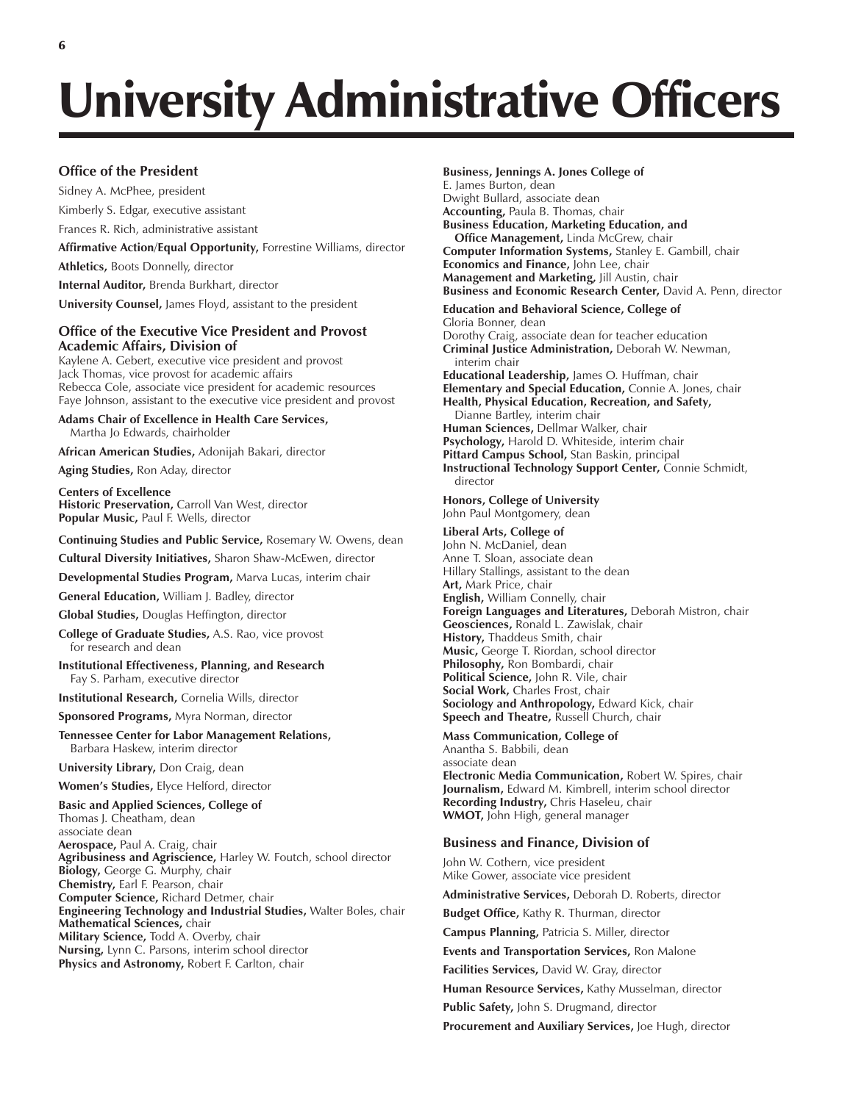# University Administrative Officers

### **Office of the President**

Sidney A. McPhee, president Kimberly S. Edgar, executive assistant Frances R. Rich, administrative assistant

**Affirmative Action/Equal Opportunity,** Forrestine Williams, director

**Athletics,** Boots Donnelly, director

**Internal Auditor,** Brenda Burkhart, director

**University Counsel,** James Floyd, assistant to the president

#### **Office of the Executive Vice President and Provost Academic Affairs, Division of**

Kaylene A. Gebert, executive vice president and provost Jack Thomas, vice provost for academic affairs Rebecca Cole, associate vice president for academic resources Faye Johnson, assistant to the executive vice president and provost

**Adams Chair of Excellence in Health Care Services,** Martha Jo Edwards, chairholder

**African American Studies,** Adonijah Bakari, director

**Aging Studies,** Ron Aday, director

**Centers of Excellence Historic Preservation,** Carroll Van West, director **Popular Music,** Paul F. Wells, director

**Continuing Studies and Public Service,** Rosemary W. Owens, dean

**Cultural Diversity Initiatives,** Sharon Shaw-McEwen, director

**Developmental Studies Program,** Marva Lucas, interim chair

**General Education,** William J. Badley, director

**Global Studies,** Douglas Heffington, director

**College of Graduate Studies,** A.S. Rao, vice provost for research and dean

**Institutional Effectiveness, Planning, and Research** Fay S. Parham, executive director

**Institutional Research,** Cornelia Wills, director

**Sponsored Programs,** Myra Norman, director

**Tennessee Center for Labor Management Relations,** Barbara Haskew, interim director

**University Library,** Don Craig, dean

**Womenís Studies,** Elyce Helford, director

**Basic and Applied Sciences, College of**

Thomas J. Cheatham, dean associate dean **Aerospace,** Paul A. Craig, chair **Agribusiness and Agriscience,** Harley W. Foutch, school director **Biology,** George G. Murphy, chair **Chemistry,** Earl F. Pearson, chair **Computer Science,** Richard Detmer, chair **Engineering Technology and Industrial Studies,** Walter Boles, chair **Mathematical Sciences,** chair **Military Science,** Todd A. Overby, chair **Nursing,** Lynn C. Parsons, interim school director **Physics and Astronomy,** Robert F. Carlton, chair

#### **Business, Jennings A. Jones College of**

E. James Burton, dean Dwight Bullard, associate dean **Accounting,** Paula B. Thomas, chair **Business Education, Marketing Education, and Office Management,** Linda McGrew, chair **Computer Information Systems,** Stanley E. Gambill, chair **Economics and Finance,** John Lee, chair **Management and Marketing,** Jill Austin, chair **Business and Economic Research Center,** David A. Penn, director **Education and Behavioral Science, College of** Gloria Bonner, dean

Dorothy Craig, associate dean for teacher education **Criminal Justice Administration,** Deborah W. Newman, interim chair **Educational Leadership,** James O. Huffman, chair **Elementary and Special Education,** Connie A. Jones, chair **Health, Physical Education, Recreation, and Safety,** Dianne Bartley, interim chair **Human Sciences,** Dellmar Walker, chair **Psychology,** Harold D. Whiteside, interim chair **Pittard Campus School,** Stan Baskin, principal **Instructional Technology Support Center,** Connie Schmidt, director

**Honors, College of University** John Paul Montgomery, dean

#### **Liberal Arts, College of**

John N. McDaniel, dean Anne T. Sloan, associate dean Hillary Stallings, assistant to the dean **Art,** Mark Price, chair **English,** William Connelly, chair **Foreign Languages and Literatures,** Deborah Mistron, chair **Geosciences,** Ronald L. Zawislak, chair **History,** Thaddeus Smith, chair **Music,** George T. Riordan, school director **Philosophy,** Ron Bombardi, chair **Political Science,** John R. Vile, chair **Social Work,** Charles Frost, chair **Sociology and Anthropology,** Edward Kick, chair **Speech and Theatre,** Russell Church, chair

**Mass Communication, College of**

Anantha S. Babbili, dean associate dean **Electronic Media Communication,** Robert W. Spires, chair **Journalism,** Edward M. Kimbrell, interim school director **Recording Industry,** Chris Haseleu, chair **WMOT,** John High, general manager

#### **Business and Finance, Division of**

John W. Cothern, vice president Mike Gower, associate vice president

**Administrative Services,** Deborah D. Roberts, director

**Budget Office,** Kathy R. Thurman, director

**Campus Planning,** Patricia S. Miller, director

**Events and Transportation Services,** Ron Malone

**Facilities Services,** David W. Gray, director

**Human Resource Services,** Kathy Musselman, director

**Public Safety,** John S. Drugmand, director

**Procurement and Auxiliary Services,** Joe Hugh, director